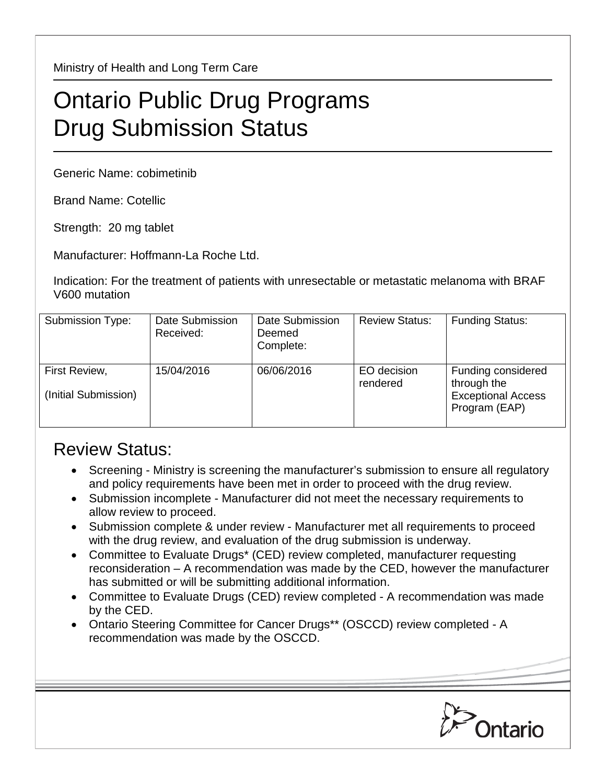Ministry of Health and Long Term Care

## Ontario Public Drug Programs Drug Submission Status

Generic Name: cobimetinib

Brand Name: Cotellic

Strength: 20 mg tablet

Manufacturer: Hoffmann-La Roche Ltd.

Indication: For the treatment of patients with unresectable or metastatic melanoma with BRAF V600 mutation

| Submission Type:                      | Date Submission<br>Received: | Date Submission<br>Deemed<br>Complete: | <b>Review Status:</b>   | <b>Funding Status:</b>                                                          |
|---------------------------------------|------------------------------|----------------------------------------|-------------------------|---------------------------------------------------------------------------------|
| First Review,<br>(Initial Submission) | 15/04/2016                   | 06/06/2016                             | EO decision<br>rendered | Funding considered<br>through the<br><b>Exceptional Access</b><br>Program (EAP) |

## Review Status:

- Screening Ministry is screening the manufacturer's submission to ensure all regulatory and policy requirements have been met in order to proceed with the drug review.
- Submission incomplete Manufacturer did not meet the necessary requirements to allow review to proceed.
- Submission complete & under review Manufacturer met all requirements to proceed with the drug review, and evaluation of the drug submission is underway.
- Committee to Evaluate Drugs\* (CED) review completed, manufacturer requesting reconsideration – A recommendation was made by the CED, however the manufacturer has submitted or will be submitting additional information.
- Committee to Evaluate Drugs (CED) review completed A recommendation was made by the CED.
- Ontario Steering Committee for Cancer Drugs\*\* (OSCCD) review completed A recommendation was made by the OSCCD.